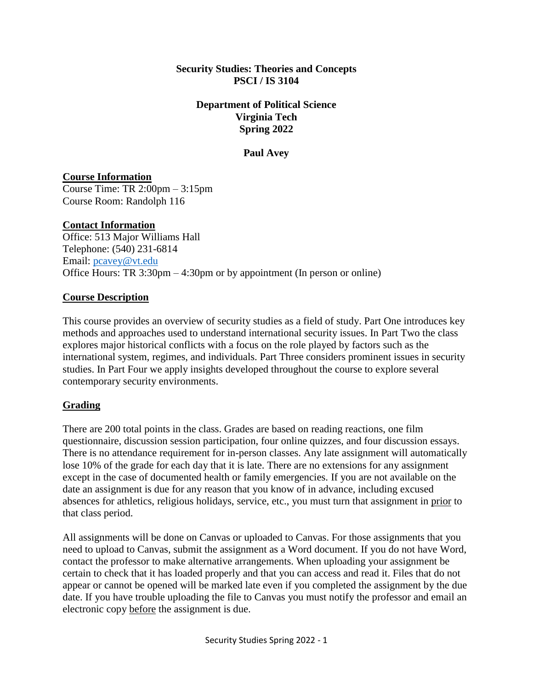#### **Security Studies: Theories and Concepts PSCI / IS 3104**

#### **Department of Political Science Virginia Tech Spring 2022**

### **Paul Avey**

### **Course Information**

Course Time: TR 2:00pm – 3:15pm Course Room: Randolph 116

### **Contact Information**

Office: 513 Major Williams Hall Telephone: (540) 231-6814 Email: [pcavey@vt.edu](mailto:pcavey@vt.edu) Office Hours: TR 3:30pm – 4:30pm or by appointment (In person or online)

### **Course Description**

This course provides an overview of security studies as a field of study. Part One introduces key methods and approaches used to understand international security issues. In Part Two the class explores major historical conflicts with a focus on the role played by factors such as the international system, regimes, and individuals. Part Three considers prominent issues in security studies. In Part Four we apply insights developed throughout the course to explore several contemporary security environments.

## **Grading**

There are 200 total points in the class. Grades are based on reading reactions, one film questionnaire, discussion session participation, four online quizzes, and four discussion essays. There is no attendance requirement for in-person classes. Any late assignment will automatically lose 10% of the grade for each day that it is late. There are no extensions for any assignment except in the case of documented health or family emergencies. If you are not available on the date an assignment is due for any reason that you know of in advance, including excused absences for athletics, religious holidays, service, etc., you must turn that assignment in prior to that class period.

All assignments will be done on Canvas or uploaded to Canvas. For those assignments that you need to upload to Canvas, submit the assignment as a Word document. If you do not have Word, contact the professor to make alternative arrangements. When uploading your assignment be certain to check that it has loaded properly and that you can access and read it. Files that do not appear or cannot be opened will be marked late even if you completed the assignment by the due date. If you have trouble uploading the file to Canvas you must notify the professor and email an electronic copy before the assignment is due.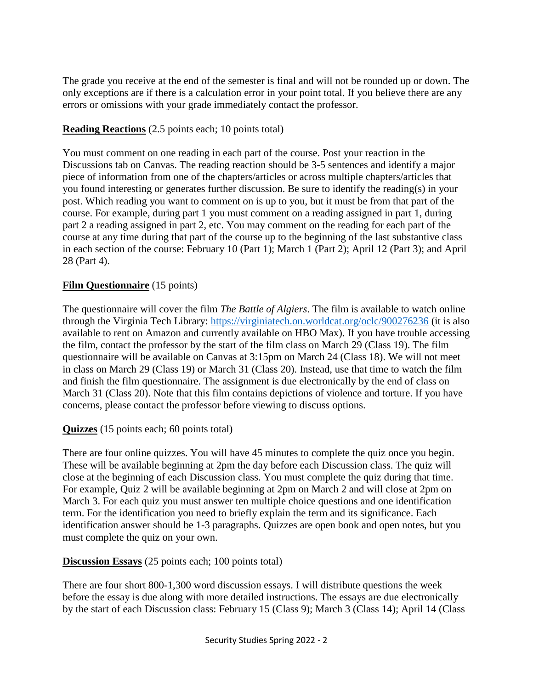The grade you receive at the end of the semester is final and will not be rounded up or down. The only exceptions are if there is a calculation error in your point total. If you believe there are any errors or omissions with your grade immediately contact the professor.

### **Reading Reactions** (2.5 points each; 10 points total)

You must comment on one reading in each part of the course. Post your reaction in the Discussions tab on Canvas. The reading reaction should be 3-5 sentences and identify a major piece of information from one of the chapters/articles or across multiple chapters/articles that you found interesting or generates further discussion. Be sure to identify the reading(s) in your post. Which reading you want to comment on is up to you, but it must be from that part of the course. For example, during part 1 you must comment on a reading assigned in part 1, during part 2 a reading assigned in part 2, etc. You may comment on the reading for each part of the course at any time during that part of the course up to the beginning of the last substantive class in each section of the course: February 10 (Part 1); March 1 (Part 2); April 12 (Part 3); and April 28 (Part 4).

### **Film Questionnaire** (15 points)

The questionnaire will cover the film *The Battle of Algiers*. The film is available to watch online through the Virginia Tech Library:<https://virginiatech.on.worldcat.org/oclc/900276236> (it is also available to rent on Amazon and currently available on HBO Max). If you have trouble accessing the film, contact the professor by the start of the film class on March 29 (Class 19). The film questionnaire will be available on Canvas at 3:15pm on March 24 (Class 18). We will not meet in class on March 29 (Class 19) or March 31 (Class 20). Instead, use that time to watch the film and finish the film questionnaire. The assignment is due electronically by the end of class on March 31 (Class 20). Note that this film contains depictions of violence and torture. If you have concerns, please contact the professor before viewing to discuss options.

#### **Quizzes** (15 points each; 60 points total)

There are four online quizzes. You will have 45 minutes to complete the quiz once you begin. These will be available beginning at 2pm the day before each Discussion class. The quiz will close at the beginning of each Discussion class. You must complete the quiz during that time. For example, Quiz 2 will be available beginning at 2pm on March 2 and will close at 2pm on March 3. For each quiz you must answer ten multiple choice questions and one identification term. For the identification you need to briefly explain the term and its significance. Each identification answer should be 1-3 paragraphs. Quizzes are open book and open notes, but you must complete the quiz on your own.

#### **Discussion Essays** (25 points each; 100 points total)

There are four short 800-1,300 word discussion essays. I will distribute questions the week before the essay is due along with more detailed instructions. The essays are due electronically by the start of each Discussion class: February 15 (Class 9); March 3 (Class 14); April 14 (Class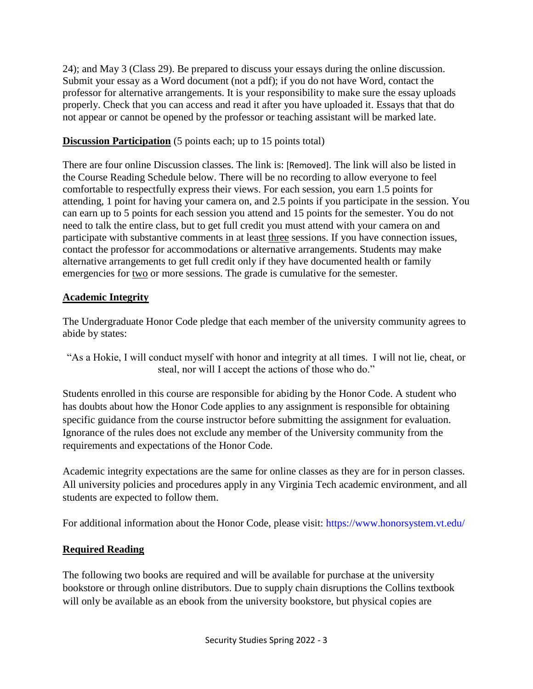24); and May 3 (Class 29). Be prepared to discuss your essays during the online discussion. Submit your essay as a Word document (not a pdf); if you do not have Word, contact the professor for alternative arrangements. It is your responsibility to make sure the essay uploads properly. Check that you can access and read it after you have uploaded it. Essays that that do not appear or cannot be opened by the professor or teaching assistant will be marked late.

## **Discussion Participation** (5 points each; up to 15 points total)

There are four online Discussion classes. The link is: [Removed]. The link will also be listed in the Course Reading Schedule below. There will be no recording to allow everyone to feel comfortable to respectfully express their views. For each session, you earn 1.5 points for attending, 1 point for having your camera on, and 2.5 points if you participate in the session. You can earn up to 5 points for each session you attend and 15 points for the semester. You do not need to talk the entire class, but to get full credit you must attend with your camera on and participate with substantive comments in at least three sessions. If you have connection issues, contact the professor for accommodations or alternative arrangements. Students may make alternative arrangements to get full credit only if they have documented health or family emergencies for two or more sessions. The grade is cumulative for the semester.

## **Academic Integrity**

The Undergraduate Honor Code pledge that each member of the university community agrees to abide by states:

"As a Hokie, I will conduct myself with honor and integrity at all times. I will not lie, cheat, or steal, nor will I accept the actions of those who do."

Students enrolled in this course are responsible for abiding by the Honor Code. A student who has doubts about how the Honor Code applies to any assignment is responsible for obtaining specific guidance from the course instructor before submitting the assignment for evaluation. Ignorance of the rules does not exclude any member of the University community from the requirements and expectations of the Honor Code.

Academic integrity expectations are the same for online classes as they are for in person classes. All university policies and procedures apply in any Virginia Tech academic environment, and all students are expected to follow them.

For additional information about the Honor Code, please visit: https://www.honorsystem.vt.edu/

## **Required Reading**

The following two books are required and will be available for purchase at the university bookstore or through online distributors. Due to supply chain disruptions the Collins textbook will only be available as an ebook from the university bookstore, but physical copies are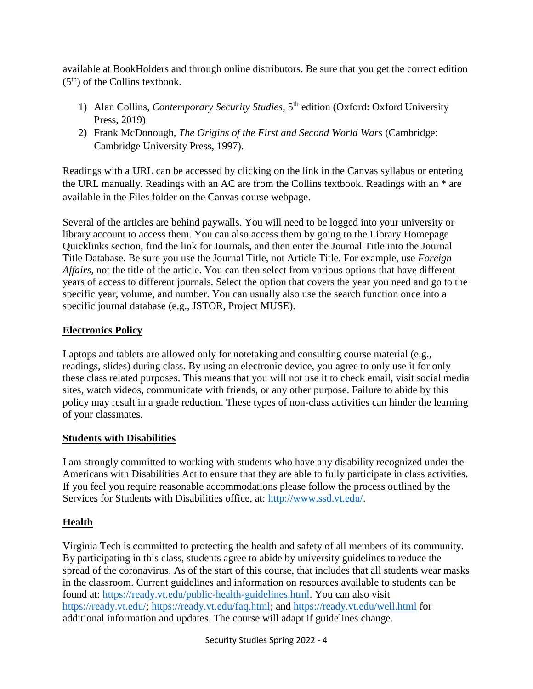available at BookHolders and through online distributors. Be sure that you get the correct edition  $(5<sup>th</sup>)$  of the Collins textbook.

- 1) Alan Collins, *Contemporary Security Studies*, 5<sup>th</sup> edition (Oxford: Oxford University Press, 2019)
- 2) Frank McDonough, *The Origins of the First and Second World Wars* (Cambridge: Cambridge University Press, 1997).

Readings with a URL can be accessed by clicking on the link in the Canvas syllabus or entering the URL manually. Readings with an AC are from the Collins textbook. Readings with an \* are available in the Files folder on the Canvas course webpage.

Several of the articles are behind paywalls. You will need to be logged into your university or library account to access them. You can also access them by going to the Library Homepage Quicklinks section, find the link for Journals, and then enter the Journal Title into the Journal Title Database. Be sure you use the Journal Title, not Article Title. For example, use *Foreign Affairs,* not the title of the article. You can then select from various options that have different years of access to different journals. Select the option that covers the year you need and go to the specific year, volume, and number. You can usually also use the search function once into a specific journal database (e.g., JSTOR, Project MUSE).

## **Electronics Policy**

Laptops and tablets are allowed only for notetaking and consulting course material (e.g., readings, slides) during class. By using an electronic device, you agree to only use it for only these class related purposes. This means that you will not use it to check email, visit social media sites, watch videos, communicate with friends, or any other purpose. Failure to abide by this policy may result in a grade reduction. These types of non-class activities can hinder the learning of your classmates.

## **Students with Disabilities**

I am strongly committed to working with students who have any disability recognized under the Americans with Disabilities Act to ensure that they are able to fully participate in class activities. If you feel you require reasonable accommodations please follow the process outlined by the Services for Students with Disabilities office, at: [http://www.ssd.vt.edu/.](http://www.ssd.vt.edu/)

## **Health**

Virginia Tech is committed to protecting the health and safety of all members of its community. By participating in this class, students agree to abide by university guidelines to reduce the spread of the coronavirus. As of the start of this course, that includes that all students wear masks in the classroom. Current guidelines and information on resources available to students can be found at: [https://ready.vt.edu/public-health-guidelines.html.](https://ready.vt.edu/public-health-guidelines.html) You can also visit [https://ready.vt.edu/;](https://ready.vt.edu/) [https://ready.vt.edu/faq.html;](https://ready.vt.edu/faq.html) and<https://ready.vt.edu/well.html> for additional information and updates. The course will adapt if guidelines change.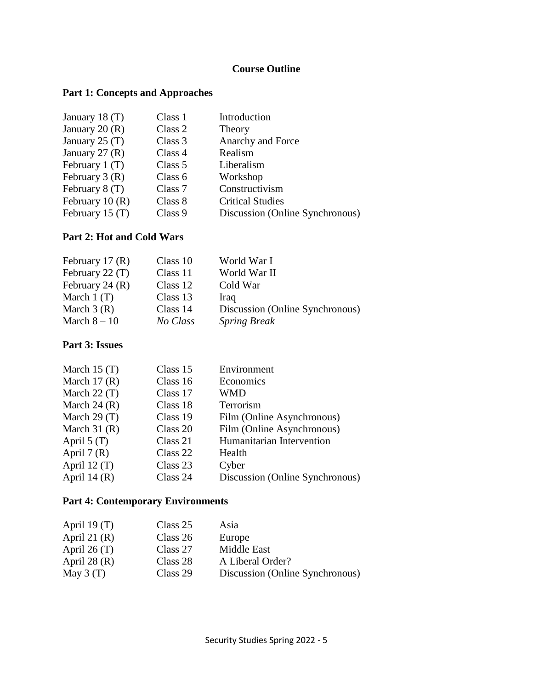# **Course Outline**

## **Part 1: Concepts and Approaches**

| January 18 $(T)$ | Class 1 | Introduction                    |
|------------------|---------|---------------------------------|
| January 20 $(R)$ | Class 2 | Theory                          |
| January 25 $(T)$ | Class 3 | Anarchy and Force               |
| January 27 $(R)$ | Class 4 | Realism                         |
| February $1(T)$  | Class 5 | Liberalism                      |
| February $3(R)$  | Class 6 | Workshop                        |
| February 8 (T)   | Class 7 | Constructivism                  |
| February $10(R)$ | Class 8 | <b>Critical Studies</b>         |
| February 15 (T)  | Class 9 | Discussion (Online Synchronous) |

## **Part 2: Hot and Cold Wars**

| February 17 $(R)$ | Class 10 | World War I                     |
|-------------------|----------|---------------------------------|
| February 22 $(T)$ | Class 11 | World War II                    |
| February 24 $(R)$ | Class 12 | Cold War                        |
| March $1(T)$      | Class 13 | <b>Iraq</b>                     |
| March $3(R)$      | Class 14 | Discussion (Online Synchronous) |
| March $8-10$      | No Class | <b>Spring Break</b>             |

# **Part 3: Issues**

| March $15(T)$  | Class 15 | Environment                     |
|----------------|----------|---------------------------------|
| March $17(R)$  | Class 16 | Economics                       |
| March $22(T)$  | Class 17 | <b>WMD</b>                      |
| March $24(R)$  | Class 18 | Terrorism                       |
| March $29(T)$  | Class 19 | Film (Online Asynchronous)      |
| March $31(R)$  | Class 20 | Film (Online Asynchronous)      |
| April $5(T)$   | Class 21 | Humanitarian Intervention       |
| April $7(R)$   | Class 22 | Health                          |
| April 12 $(T)$ | Class 23 | Cyber                           |
| April 14 $(R)$ | Class 24 | Discussion (Online Synchronous) |

## **Part 4: Contemporary Environments**

| April 19 $(T)$ | Class 25 | Asia                            |
|----------------|----------|---------------------------------|
| April 21 $(R)$ | Class 26 | Europe                          |
| April 26 $(T)$ | Class 27 | Middle East                     |
| April 28 $(R)$ | Class 28 | A Liberal Order?                |
| May $3(T)$     | Class 29 | Discussion (Online Synchronous) |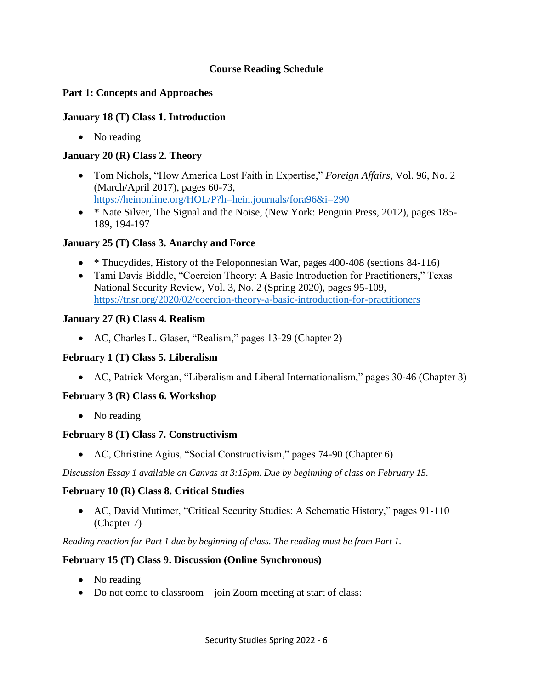#### **Course Reading Schedule**

### **Part 1: Concepts and Approaches**

#### **January 18 (T) Class 1. Introduction**

• No reading

#### **January 20 (R) Class 2. Theory**

- Tom Nichols, "How America Lost Faith in Expertise," *Foreign Affairs*, Vol. 96, No. 2 (March/April 2017), pages 60-73, <https://heinonline.org/HOL/P?h=hein.journals/fora96&i=290>
- \* Nate Silver, The Signal and the Noise, (New York: Penguin Press, 2012), pages 185-189, 194-197

### **January 25 (T) Class 3. Anarchy and Force**

- \* Thucydides, History of the Peloponnesian War, pages 400-408 (sections 84-116)
- Tami Davis Biddle, "Coercion Theory: A Basic Introduction for Practitioners," Texas National Security Review, Vol. 3, No. 2 (Spring 2020), pages 95-109, <https://tnsr.org/2020/02/coercion-theory-a-basic-introduction-for-practitioners>

#### **January 27 (R) Class 4. Realism**

• AC, Charles L. Glaser, "Realism," pages 13-29 (Chapter 2)

#### **February 1 (T) Class 5. Liberalism**

• AC, Patrick Morgan, "Liberalism and Liberal Internationalism," pages 30-46 (Chapter 3)

## **February 3 (R) Class 6. Workshop**

• No reading

#### **February 8 (T) Class 7. Constructivism**

• AC, Christine Agius, "Social Constructivism," pages 74-90 (Chapter 6)

*Discussion Essay 1 available on Canvas at 3:15pm. Due by beginning of class on February 15.*

#### **February 10 (R) Class 8. Critical Studies**

• AC, David Mutimer, "Critical Security Studies: A Schematic History," pages 91-110 (Chapter 7)

*Reading reaction for Part 1 due by beginning of class. The reading must be from Part 1.* 

#### **February 15 (T) Class 9. Discussion (Online Synchronous)**

- No reading
- Do not come to classroom join Zoom meeting at start of class: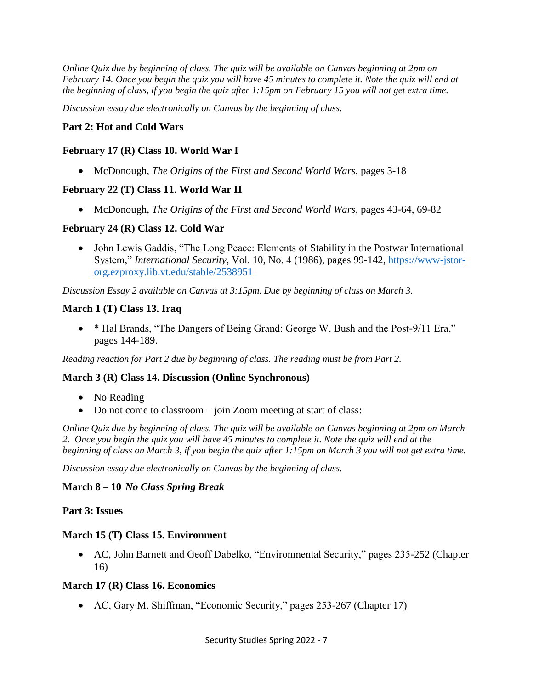*Online Quiz due by beginning of class. The quiz will be available on Canvas beginning at 2pm on February 14. Once you begin the quiz you will have 45 minutes to complete it. Note the quiz will end at the beginning of class, if you begin the quiz after 1:15pm on February 15 you will not get extra time.* 

*Discussion essay due electronically on Canvas by the beginning of class.* 

#### **Part 2: Hot and Cold Wars**

#### **February 17 (R) Class 10. World War I**

• McDonough, *The Origins of the First and Second World Wars*, pages 3-18

#### **February 22 (T) Class 11. World War II**

• McDonough, *The Origins of the First and Second World Wars*, pages 43-64, 69-82

#### **February 24 (R) Class 12. Cold War**

• John Lewis Gaddis, "The Long Peace: Elements of Stability in the Postwar International System," *International Security*, Vol. 10, No. 4 (1986), pages 99-142, [https://www-jstor](https://www-jstor-org.ezproxy.lib.vt.edu/stable/2538951)[org.ezproxy.lib.vt.edu/stable/2538951](https://www-jstor-org.ezproxy.lib.vt.edu/stable/2538951)

*Discussion Essay 2 available on Canvas at 3:15pm. Due by beginning of class on March 3.* 

#### **March 1 (T) Class 13. Iraq**

• \* Hal Brands, "The Dangers of Being Grand: George W. Bush and the Post-9/11 Era," pages 144-189.

*Reading reaction for Part 2 due by beginning of class. The reading must be from Part 2.* 

#### **March 3 (R) Class 14. Discussion (Online Synchronous)**

- No Reading
- Do not come to classroom join Zoom meeting at start of class:

*Online Quiz due by beginning of class. The quiz will be available on Canvas beginning at 2pm on March 2. Once you begin the quiz you will have 45 minutes to complete it. Note the quiz will end at the beginning of class on March 3, if you begin the quiz after 1:15pm on March 3 you will not get extra time.* 

*Discussion essay due electronically on Canvas by the beginning of class.* 

#### **March 8 – 10** *No Class Spring Break*

#### **Part 3: Issues**

#### **March 15 (T) Class 15. Environment**

• AC, John Barnett and Geoff Dabelko, "Environmental Security," pages 235-252 (Chapter 16)

#### **March 17 (R) Class 16. Economics**

• AC, Gary M. Shiffman, "Economic Security," pages 253-267 (Chapter 17)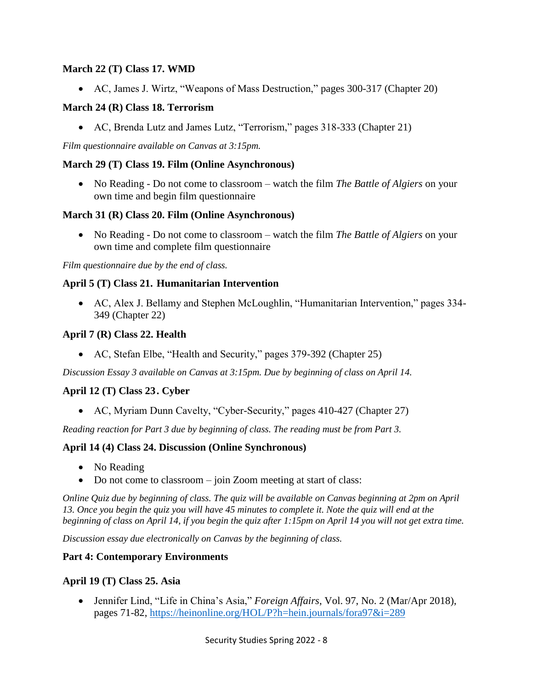#### **March 22 (T) Class 17. WMD**

• AC, James J. Wirtz, "Weapons of Mass Destruction," pages 300-317 (Chapter 20)

### **March 24 (R) Class 18. Terrorism**

• AC, Brenda Lutz and James Lutz, "Terrorism," pages 318-333 (Chapter 21)

*Film questionnaire available on Canvas at 3:15pm.*

#### **March 29 (T) Class 19. Film (Online Asynchronous)**

• No Reading - Do not come to classroom – watch the film *The Battle of Algiers* on your own time and begin film questionnaire

#### **March 31 (R) Class 20. Film (Online Asynchronous)**

• No Reading - Do not come to classroom – watch the film *The Battle of Algiers* on your own time and complete film questionnaire

*Film questionnaire due by the end of class.* 

### **April 5 (T) Class 21. Humanitarian Intervention**

• AC, Alex J. Bellamy and Stephen McLoughlin, "Humanitarian Intervention," pages 334- 349 (Chapter 22)

### **April 7 (R) Class 22. Health**

• AC, Stefan Elbe, "Health and Security," pages 379-392 (Chapter 25)

*Discussion Essay 3 available on Canvas at 3:15pm. Due by beginning of class on April 14.* 

## **April 12 (T) Class 23. Cyber**

• AC, Myriam Dunn Cavelty, "Cyber-Security," pages 410-427 (Chapter 27)

*Reading reaction for Part 3 due by beginning of class. The reading must be from Part 3.* 

#### **April 14 (4) Class 24. Discussion (Online Synchronous)**

- No Reading
- Do not come to classroom join Zoom meeting at start of class:

*Online Quiz due by beginning of class. The quiz will be available on Canvas beginning at 2pm on April 13. Once you begin the quiz you will have 45 minutes to complete it. Note the quiz will end at the beginning of class on April 14, if you begin the quiz after 1:15pm on April 14 you will not get extra time.* 

*Discussion essay due electronically on Canvas by the beginning of class.* 

#### **Part 4: Contemporary Environments**

#### **April 19 (T) Class 25. Asia**

• Jennifer Lind, "Life in China's Asia," *Foreign Affairs*, Vol. 97, No. 2 (Mar/Apr 2018), pages 71-82,<https://heinonline.org/HOL/P?h=hein.journals/fora97&i=289>